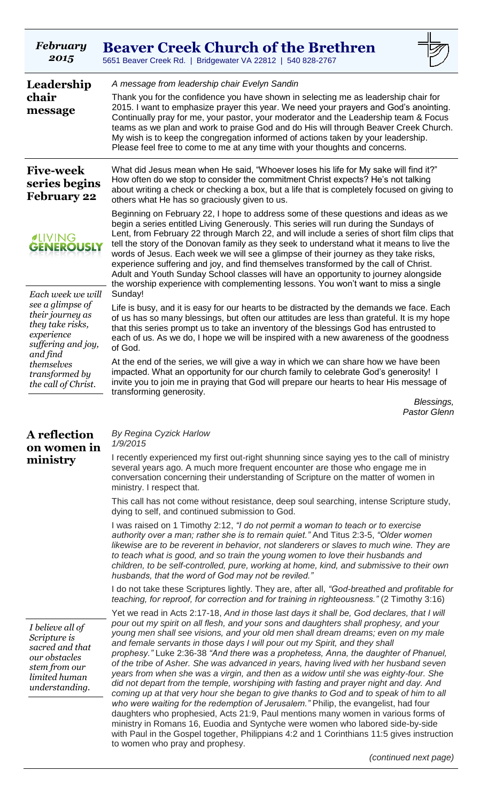| February<br>2015                                                                                                         | <b>Beaver Creek Church of the Brethren</b><br>5651 Beaver Creek Rd.   Bridgewater VA 22812   540 828-2767                                                                                                                                                                                                                                                                                                                                                                                                                                                                                                                                                                                                                                                                                                                                                                                                                                                                                                                                                                                                                                                                                                         |
|--------------------------------------------------------------------------------------------------------------------------|-------------------------------------------------------------------------------------------------------------------------------------------------------------------------------------------------------------------------------------------------------------------------------------------------------------------------------------------------------------------------------------------------------------------------------------------------------------------------------------------------------------------------------------------------------------------------------------------------------------------------------------------------------------------------------------------------------------------------------------------------------------------------------------------------------------------------------------------------------------------------------------------------------------------------------------------------------------------------------------------------------------------------------------------------------------------------------------------------------------------------------------------------------------------------------------------------------------------|
| Leadership<br>chair<br>message                                                                                           | A message from leadership chair Evelyn Sandin<br>Thank you for the confidence you have shown in selecting me as leadership chair for<br>2015. I want to emphasize prayer this year. We need your prayers and God's anointing.<br>Continually pray for me, your pastor, your moderator and the Leadership team & Focus<br>teams as we plan and work to praise God and do His will through Beaver Creek Church.<br>My wish is to keep the congregation informed of actions taken by your leadership.<br>Please feel free to come to me at any time with your thoughts and concerns.                                                                                                                                                                                                                                                                                                                                                                                                                                                                                                                                                                                                                                 |
| <b>Five-week</b><br>series begins<br><b>February 22</b>                                                                  | What did Jesus mean when He said, "Whoever loses his life for My sake will find it?"<br>How often do we stop to consider the commitment Christ expects? He's not talking<br>about writing a check or checking a box, but a life that is completely focused on giving to<br>others what He has so graciously given to us.                                                                                                                                                                                                                                                                                                                                                                                                                                                                                                                                                                                                                                                                                                                                                                                                                                                                                          |
| <b><i>ALIVING</i></b><br><b>GENEROUSLY</b>                                                                               | Beginning on February 22, I hope to address some of these questions and ideas as we<br>begin a series entitled Living Generously. This series will run during the Sundays of<br>Lent, from February 22 through March 22, and will include a series of short film clips that<br>tell the story of the Donovan family as they seek to understand what it means to live the<br>words of Jesus. Each week we will see a glimpse of their journey as they take risks,<br>experience suffering and joy, and find themselves transformed by the call of Christ.<br>Adult and Youth Sunday School classes will have an opportunity to journey alongside<br>the worship experience with complementing lessons. You won't want to miss a single                                                                                                                                                                                                                                                                                                                                                                                                                                                                             |
| Each week we will<br>see a glimpse of<br>their journey as<br>they take risks,<br>experience<br>suffering and joy,        | Sunday!<br>Life is busy, and it is easy for our hearts to be distracted by the demands we face. Each<br>of us has so many blessings, but often our attitudes are less than grateful. It is my hope<br>that this series prompt us to take an inventory of the blessings God has entrusted to<br>each of us. As we do, I hope we will be inspired with a new awareness of the goodness<br>of God.                                                                                                                                                                                                                                                                                                                                                                                                                                                                                                                                                                                                                                                                                                                                                                                                                   |
| and find<br>themselves<br>transformed by<br>the call of Christ.                                                          | At the end of the series, we will give a way in which we can share how we have been<br>impacted. What an opportunity for our church family to celebrate God's generosity! I<br>invite you to join me in praying that God will prepare our hearts to hear His message of<br>transforming generosity.                                                                                                                                                                                                                                                                                                                                                                                                                                                                                                                                                                                                                                                                                                                                                                                                                                                                                                               |
|                                                                                                                          | Blessings,<br><b>Pastor Glenn</b>                                                                                                                                                                                                                                                                                                                                                                                                                                                                                                                                                                                                                                                                                                                                                                                                                                                                                                                                                                                                                                                                                                                                                                                 |
| A reflection<br>on women in<br>ministry                                                                                  | By Regina Cyzick Harlow<br>1/9/2015<br>I recently experienced my first out-right shunning since saying yes to the call of ministry<br>several years ago. A much more frequent encounter are those who engage me in<br>conversation concerning their understanding of Scripture on the matter of women in                                                                                                                                                                                                                                                                                                                                                                                                                                                                                                                                                                                                                                                                                                                                                                                                                                                                                                          |
|                                                                                                                          | ministry. I respect that.<br>This call has not come without resistance, deep soul searching, intense Scripture study,<br>dying to self, and continued submission to God.                                                                                                                                                                                                                                                                                                                                                                                                                                                                                                                                                                                                                                                                                                                                                                                                                                                                                                                                                                                                                                          |
|                                                                                                                          | I was raised on 1 Timothy 2:12, "I do not permit a woman to teach or to exercise<br>authority over a man; rather she is to remain quiet." And Titus 2:3-5, "Older women<br>likewise are to be reverent in behavior, not slanderers or slaves to much wine. They are<br>to teach what is good, and so train the young women to love their husbands and<br>children, to be self-controlled, pure, working at home, kind, and submissive to their own<br>husbands, that the word of God may not be reviled."                                                                                                                                                                                                                                                                                                                                                                                                                                                                                                                                                                                                                                                                                                         |
|                                                                                                                          | I do not take these Scriptures lightly. They are, after all, "God-breathed and profitable for<br>teaching, for reproof, for correction and for training in righteousness." (2 Timothy 3:16)                                                                                                                                                                                                                                                                                                                                                                                                                                                                                                                                                                                                                                                                                                                                                                                                                                                                                                                                                                                                                       |
| I believe all of<br>Scripture is<br>sacred and that<br>our obstacles<br>stem from our<br>limited human<br>understanding. | Yet we read in Acts 2:17-18, And in those last days it shall be, God declares, that I will<br>pour out my spirit on all flesh, and your sons and daughters shall prophesy, and your<br>young men shall see visions, and your old men shall dream dreams; even on my male<br>and female servants in those days I will pour out my Spirit, and they shall<br>prophesy." Luke 2:36-38 "And there was a prophetess, Anna, the daughter of Phanuel,<br>of the tribe of Asher. She was advanced in years, having lived with her husband seven<br>years from when she was a virgin, and then as a widow until she was eighty-four. She<br>did not depart from the temple, worshiping with fasting and prayer night and day. And<br>coming up at that very hour she began to give thanks to God and to speak of him to all<br>who were waiting for the redemption of Jerusalem." Philip, the evangelist, had four<br>daughters who prophesied, Acts 21:9, Paul mentions many women in various forms of<br>ministry in Romans 16, Euodia and Syntyche were women who labored side-by-side<br>with Paul in the Gospel together, Philippians 4:2 and 1 Corinthians 11:5 gives instruction<br>to women who pray and prophesy. |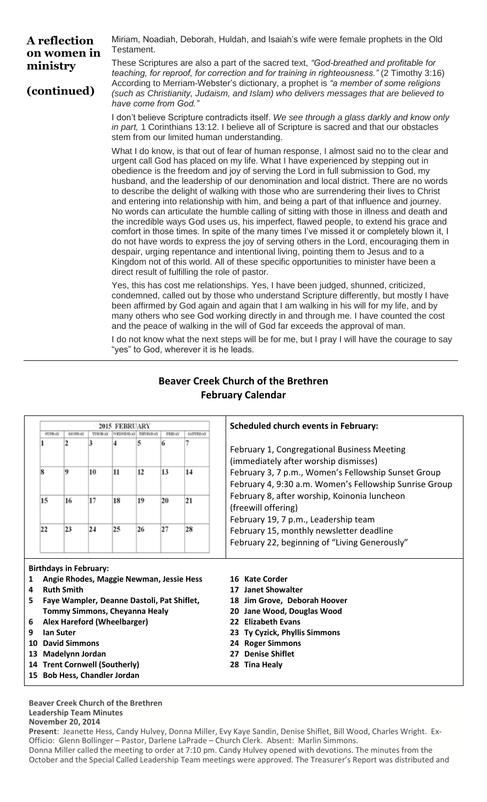**A reflection on women in ministry** Miriam, Noadiah, Deborah, Huldah, and Isaiah's wife were female prophets in the Old Testament.

**(continued)**

These Scriptures are also a part of the sacred text, *"God-breathed and profitable for teaching, for reproof, for correction and for training in righteousness."* (2 Timothy 3:16) According to Merriam-Webster's dictionary, a prophet is *"a member of some religions (such as Christianity, Judaism, and Islam) who delivers messages that are believed to have come from God."*

I don't believe Scripture contradicts itself. *We see through a glass darkly and know only in part,* 1 Corinthians 13:12. I believe all of Scripture is sacred and that our obstacles stem from our limited human understanding.

What I do know, is that out of fear of human response, I almost said no to the clear and urgent call God has placed on my life. What I have experienced by stepping out in obedience is the freedom and joy of serving the Lord in full submission to God, my husband, and the leadership of our denomination and local district. There are no words to describe the delight of walking with those who are surrendering their lives to Christ and entering into relationship with him, and being a part of that influence and journey. No words can articulate the humble calling of sitting with those in illness and death and the incredible ways God uses us, his imperfect, flawed people, to extend his grace and comfort in those times. In spite of the many times I've missed it or completely blown it, I do not have words to express the joy of serving others in the Lord, encouraging them in despair, urging repentance and intentional living, pointing them to Jesus and to a Kingdom not of this world. All of these specific opportunities to minister have been a direct result of fulfilling the role of pastor.

Yes, this has cost me relationships. Yes, I have been judged, shunned, criticized, condemned, called out by those who understand Scripture differently, but mostly I have been affirmed by God again and again that I am walking in his will for my life, and by many others who see God working directly in and through me. I have counted the cost and the peace of walking in the will of God far exceeds the approval of man.

I do not know what the next steps will be for me, but I pray I will have the courage to say "yes" to God, wherever it is he leads.

| 2015 FEBRUARY |         |    |    |                 |        |                 | <b>Scheduled church events in February:</b>                                                                                                                                                           |
|---------------|---------|----|----|-----------------|--------|-----------------|-------------------------------------------------------------------------------------------------------------------------------------------------------------------------------------------------------|
| SUNDAY        | MOND AY |    |    | <b>THURSDAY</b> | FRIDAY | <b>SATURDAY</b> |                                                                                                                                                                                                       |
|               |         |    |    | 5               |        |                 | February 1, Congregational Business Meeting<br>(immediately after worship dismisses)<br>February 3, 7 p.m., Women's Fellowship Sunset Group<br>February 4, 9:30 a.m. Women's Fellowship Sunrise Group |
|               |         | 10 | 11 | 12              | 13     | 14              |                                                                                                                                                                                                       |
| 15            | 16      | 17 | 18 | 19              | 20     | 21              | February 8, after worship, Koinonia luncheon<br>(freewill offering)<br>February 19, 7 p.m., Leadership team                                                                                           |
| 22            | 23      | 24 | 25 | 26              | 27     | 28              | February 15, monthly newsletter deadline<br>February 22, beginning of "Living Generously"                                                                                                             |

# **Beaver Creek Church of the Brethren February Calendar**

**Birthdays in February:**

- **1 Angie Rhodes, Maggie Newman, Jessie Hess**
- **4 Ruth Smith**
- **5 Faye Wampler, Deanne Dastoli, Pat Shiflet, Tommy Simmons, Cheyanna Healy**
- **6 Alex Hareford (Wheelbarger)**
- **9 Ian Suter**
- **10 David Simmons**
- **13 Madelynn Jordan**
- **14 Trent Cornwell (Southerly)**
- **15 Bob Hess, Chandler Jordan**

### **Beaver Creek Church of the Brethren Leadership Team Minutes November 20, 2014**

**Present**: Jeanette Hess, Candy Hulvey, Donna Miller, Evy Kaye Sandin, Denise Shiflet, Bill Wood, Charles Wright. Ex-Officio: Glenn Bollinger – Pastor, Darlene LaPrade – Church Clerk. Absent: Marlin Simmons. Donna Miller called the meeting to order at 7:10 pm. Candy Hulvey opened with devotions. The minutes from the October and the Special Called Leadership Team meetings were approved. The Treasurer's Report was distributed and

### **16 Kate Corder**

- **17 Janet Showalter**
- **18 Jim Grove, Deborah Hoover**
- **20 Jane Wood, Douglas Wood**
- **22 Elizabeth Evans**
- **23 Ty Cyzick, Phyllis Simmons**
- **24 Roger Simmons**
- **27 Denise Shiflet**
- **28 Tina Healy**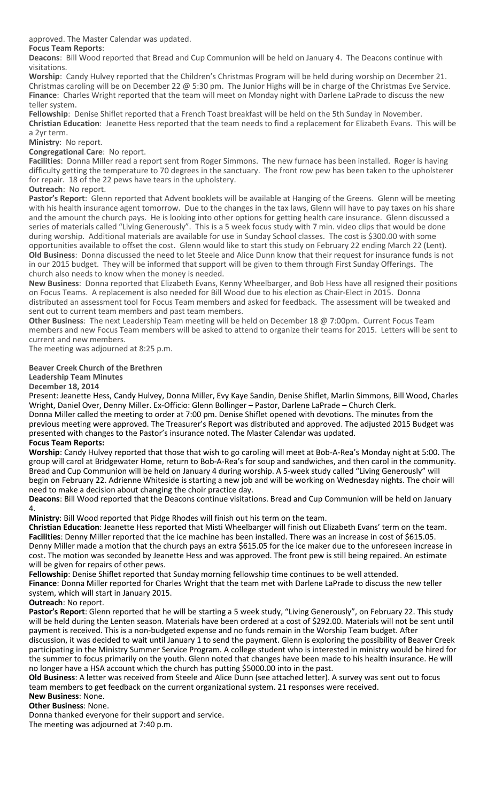approved. The Master Calendar was updated.

**Focus Team Reports**:

**Deacons**: Bill Wood reported that Bread and Cup Communion will be held on January 4. The Deacons continue with visitations.

**Worship**: Candy Hulvey reported that the Children's Christmas Program will be held during worship on December 21. Christmas caroling will be on December 22 @ 5:30 pm. The Junior Highs will be in charge of the Christmas Eve Service. **Finance**: Charles Wright reported that the team will meet on Monday night with Darlene LaPrade to discuss the new teller system.

**Fellowship**: Denise Shiflet reported that a French Toast breakfast will be held on the 5th Sunday in November. **Christian Education**: Jeanette Hess reported that the team needs to find a replacement for Elizabeth Evans. This will be

a 2yr term.

**Ministry**: No report.

**Congregational Care**: No report.

**Facilities**: Donna Miller read a report sent from Roger Simmons. The new furnace has been installed. Roger is having difficulty getting the temperature to 70 degrees in the sanctuary. The front row pew has been taken to the upholsterer for repair. 18 of the 22 pews have tears in the upholstery.

**Outreach**: No report.

**Pastor's Report**: Glenn reported that Advent booklets will be available at Hanging of the Greens. Glenn will be meeting with his health insurance agent tomorrow. Due to the changes in the tax laws, Glenn will have to pay taxes on his share and the amount the church pays. He is looking into other options for getting health care insurance. Glenn discussed a series of materials called "Living Generously". This is a 5 week focus study with 7 min. video clips that would be done during worship. Additional materials are available for use in Sunday School classes. The cost is \$300.00 with some opportunities available to offset the cost. Glenn would like to start this study on February 22 ending March 22 (Lent). **Old Business**: Donna discussed the need to let Steele and Alice Dunn know that their request for insurance funds is not in our 2015 budget. They will be informed that support will be given to them through First Sunday Offerings. The church also needs to know when the money is needed.

**New Business**: Donna reported that Elizabeth Evans, Kenny Wheelbarger, and Bob Hess have all resigned their positions on Focus Teams. A replacement is also needed for Bill Wood due to his election as Chair-Elect in 2015. Donna distributed an assessment tool for Focus Team members and asked for feedback. The assessment will be tweaked and sent out to current team members and past team members.

**Other Business**: The next Leadership Team meeting will be held on December 18 @ 7:00pm. Current Focus Team members and new Focus Team members will be asked to attend to organize their teams for 2015. Letters will be sent to current and new members.

The meeting was adjourned at 8:25 p.m.

### **Beaver Creek Church of the Brethren**

**Leadership Team Minutes**

**December 18, 2014**

Present: Jeanette Hess, Candy Hulvey, Donna Miller, Evy Kaye Sandin, Denise Shiflet, Marlin Simmons, Bill Wood, Charles Wright, Daniel Over, Denny Miller. Ex-Officio: Glenn Bollinger – Pastor, Darlene LaPrade – Church Clerk.

Donna Miller called the meeting to order at 7:00 pm. Denise Shiflet opened with devotions. The minutes from the previous meeting were approved. The Treasurer's Report was distributed and approved. The adjusted 2015 Budget was presented with changes to the Pastor's insurance noted. The Master Calendar was updated.

### **Focus Team Reports:**

**Worship**: Candy Hulvey reported that those that wish to go caroling will meet at Bob-A-Rea's Monday night at 5:00. The group will carol at Bridgewater Home, return to Bob-A-Rea's for soup and sandwiches, and then carol in the community. Bread and Cup Communion will be held on January 4 during worship. A 5-week study called "Living Generously" will begin on February 22. Adrienne Whiteside is starting a new job and will be working on Wednesday nights. The choir will need to make a decision about changing the choir practice day.

**Deacons**: Bill Wood reported that the Deacons continue visitations. Bread and Cup Communion will be held on January 4.

**Ministry**: Bill Wood reported that Pidge Rhodes will finish out his term on the team.

**Christian Education**: Jeanette Hess reported that Misti Wheelbarger will finish out Elizabeth Evans' term on the team. Facilities: Denny Miller reported that the ice machine has been installed. There was an increase in cost of \$615.05. Denny Miller made a motion that the church pays an extra \$615.05 for the ice maker due to the unforeseen increase in cost. The motion was seconded by Jeanette Hess and was approved. The front pew is still being repaired. An estimate will be given for repairs of other pews.

**Fellowship**: Denise Shiflet reported that Sunday morning fellowship time continues to be well attended. **Finance**: Donna Miller reported for Charles Wright that the team met with Darlene LaPrade to discuss the new teller system, which will start in January 2015.

### **Outreach**: No report.

**Pastor's Report**: Glenn reported that he will be starting a 5 week study, "Living Generously", on February 22. This study will be held during the Lenten season. Materials have been ordered at a cost of \$292.00. Materials will not be sent until payment is received. This is a non-budgeted expense and no funds remain in the Worship Team budget. After discussion, it was decided to wait until January 1 to send the payment. Glenn is exploring the possibility of Beaver Creek participating in the Ministry Summer Service Program. A college student who is interested in ministry would be hired for the summer to focus primarily on the youth. Glenn noted that changes have been made to his health insurance. He will no longer have a HSA account which the church has putting \$5000.00 into in the past.

**Old Business**: A letter was received from Steele and Alice Dunn (see attached letter). A survey was sent out to focus team members to get feedback on the current organizational system. 21 responses were received. **New Business**: None.

**Other Business**: None.

Donna thanked everyone for their support and service. The meeting was adjourned at 7:40 p.m.